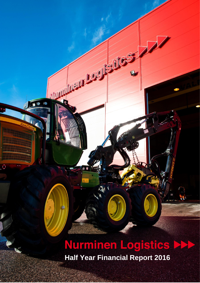# **Nurminen Logistics Read Half Year Financial Report 2016**

1.

**CONTROLLER STATES** 

(@

三国

ιğι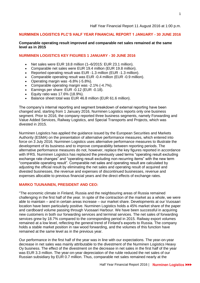#### Half Year Financial Report 11 August 2016 at 1:00 p.m.

## **NURMINEN LOGISTICS PLC'S HALF YEAR FINANCIAL REPORT 1 JANUARY - 30 JUNE 2016**

## **Comparable operating result improved and comparable net sales remained at the same level as in 2015**

#### **NURMINEN LOGISTICS KEY FIGURES 1 JANUARY - 30 JUNE 2016**

- Net sales were EUR 18.8 million (1–6/2015: EUR 23.1 million).
- Comparable net sales were EUR 19.4 million (EUR 19.8 million).
- Reported operating result was EUR -1.3 million (EUR -1.3 million).
- Comparable operating result was EUR -0.4 million (EUR -0.9 million).
- Operating margin was -6.8% (-5.8%).
- Comparable operating margin was -2.1% (-4.7%).
- **Earnings per share: EUR -0.12 (EUR -0.18).**
- Equity ratio was 17.6% (18.9%).
- Balance sheet total was EUR 46.8 million (EUR 61.6 million).

The company's internal reporting and segment breakdown of external reporting have been changed and, starting from 1 January 2016, Nurminen Logistics reports only one business segment. Prior to 2016, the company reported three business segments, namely Forwarding and Value Added Services, Railway Logistics, and Special Transports and Projects, which was divested in 2015.

Nurminen Logistics has applied the guidance issued by the European Securities and Markets Authority (ESMA) on the presentation of alternative performance measures, which entered into force on 3 July 2016. Nurminen Logistics uses alternative performance measures to illustrate the development of its business and to improve comparability between reporting periods. The alternative performance measures do not, however, replace the key figures reported in accordance with IFRS. Nurminen Logistics has replaced the previously used terms "operating result excluding exchange rate changes" and "operating result excluding non-recurring items" with the new term "comparable operating result". Comparable net sales and operating result are calculated by adjusting the official result by eliminating the net sales and operating result of acquired and divested businesses, the revenue and expenses of discontinued businesses, revenue and expenses allocable to previous financial years and the direct effects of exchange rates.

#### **MARKO TUUNAINEN, PRESIDENT AND CEO:**

"The economic climate in Finland, Russia and the neighbouring areas of Russia remained challenging in the first half of the year. In spite of the contraction of the market as a whole, we were able to maintain – and in certain areas increase – our market share. Developments at our Vuosaari location have been particularly positive. Nurminen Logistics holds a 45% market share of the paper and cardboard volume passing through Vuosaari Harbour. We have been successful in acquiring new customers in both our forwarding services and terminal services. The net sales of forwarding services grew by 18.7% compared to the corresponding period in 2015. Railway export volumes remained at a low level, reflecting the general trend of Finland's exports to Russia. The company holds a stable market position in raw wood forwarding, and the volumes of this function have remained at the same level as in the previous year.

Our performance in the first half of the year was in line with our expectations. The year-on-year decrease in net sales was mainly attributable to the divestment of the Nurminen Logistics Heavy Oy business. The effect of the divestment on the decrease in net sales in the first half of the year was EUR 3.3 million. The year-on-year depreciation of the ruble reduced the net sales of our Russian subsidiary by EUR 0.7 million. Thus, comparable net sales remained nearly at the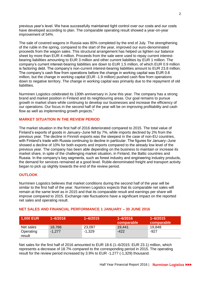previous year's level. We have successfully maintained tight control over our costs and our costs have developed according to plan. The comparable operating result showed a year-on-year improvement of 54%.

The sale of covered wagons in Russia was 80% completed by the end of July. The strengthening of the ruble in the spring, compared to the start of the year, improved our euro-denominated proceeds from the wagon sales. This structural arrangement has helped us lighten our balance sheet by more than EUR 4 million. Proceeds from the sale were used to repay current interestbearing liabilities amounting to EUR 3 million and other current liabilities by EUR 1 million. The company's current interest-bearing liabilities are down to EUR 1.5 million, of which EUR 0.9 million is factoring debt. The company's non-current interest-bearing liabilities amount to EUR 23.8 million. The company's cash flow from operations before the change in working capital was EUR 0.6 million, but the change in working capital (EUR -1.9 million) pushed cash flow from operations down to negative territory. The change in working capital was primarily due to the repayment of old liabilities.

Nurminen Logistics celebrated its 130th anniversary in June this year. The company has a strong brand and market position in Finland and its neighbouring areas. Our goal remains to pursue growth in market share while continuing to develop our businesses and increase the efficiency of our operations. Our focus in the second half of the year will be on improving profitability and cash flow as well as implementing growth projects."

# **MARKET SITUATION IN THE REVIEW PERIOD**

The market situation in the first half of 2016 deteriorated compared to 2015. The total value of Finland's exports of goods in January–June fell by 7%, while imports declined by 2% from the previous year. The decline in Finnish exports was the steepest in the case of non-EU countries, with Finland's trade with Russia continuing to decline in particular. The figures for January–June showed a decline of 10% for both exports and imports compared to the already low level of the previous year. The company has been able depending on the business to maintain or increase its market share, in spite of the challenging market situation, in Finland, the Baltic countries and Russia. In the company's key segments, such as forest industry and engineering industry products, the demand for services remained at a good level. Ruble-denominated freight and transport activity began to pick up slightly towards the end of the review period.

## **OUTLOOK**

Nurminen Logistics believes that market conditions during the second half of the year will be similar to the first half of the year. Nurminen Logistics expects that its comparable net sales will remain at the same level as in 2015 and that its comparable result and earnings per share will improve compared to 2015. Exchange rate fluctuations have a significant impact on the reported net sales and operating result.

| $\mid$ 1,000 EUR    | $1 - 6/2016$ | $1 - 6/2015$ | $1 - 6/2016$<br>comparable | $1 - 6/2015$<br>comparable |
|---------------------|--------------|--------------|----------------------------|----------------------------|
| Net sales           | 18,766       | 23,097       | 19,441                     | 19,848                     |
| Operating<br>result | $-1,277$     | -1,329       | -422                       | -927                       |

#### **NET SALES AND FINANCIAL PERFORMANCE 1 JANUARY – 30 JUNE 2016**

Net sales for the first half of 2016 amounted to EUR 18.6 (1–6/2015: EUR 23.1) million, which represents a decrease of 18.7% compared to the corresponding period in 2015. The operating result for the review period increased by 3.9% to EUR -1,277 (-1,329) thousand.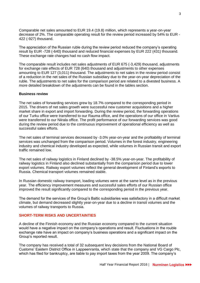Comparable net sales amounted to EUR 19.4 (19.8) million, which represents a year-on-year decrease of 2%. The comparable operating result for the review period increased by 54% to EUR - 422 (-927) thousand.

The appreciation of the Russian ruble during the review period reduced the company's operating result by EUR -728 (-640) thousand and reduced financial expenses by EUR 222 (431) thousand. These exchange rate changes had no cash flow impact.

The comparable result includes net sales adjustments of EUR 675 (-3,429) thousand, adjustments for exchange rate effects of EUR 728 (640) thousand and adjustments to other expenses amounting to EUR 127 (3,011) thousand. The adjustments to net sales in the review period consist of a reduction in the net sales of the Russian subsidiary due to the year-on-year depreciation of the ruble. The adjustments to net sales for the comparison period are related to a divested business. A more detailed breakdown of the adjustments can be found in the tables section.

#### **Business review**

The net sales of forwarding services grew by 18.7% compared to the corresponding period in 2015. The drivers of net sales growth were successful new customer acquisitions and a higher market share in export and import forwarding. During the review period, the forwarding operations of our Turku office were transferred to our Rauma office, and the operations of our office in Vartius were transferred to our Niirala office. The profit performance of our forwarding services was good during the review period due to the continuous improvement of operational efficiency as well as successful sales efforts.

The net sales of terminal services decreased by -3.0% year-on-year and the profitability of terminal services was unchanged from the comparison period. Volumes in the forest industry, engineering industry and chemical industry developed as expected, while volumes in Russian transit and export traffic remained low.

The net sales of railway logistics in Finland declined by -38.5% year-on-year. The profitability of railway logistics in Finland also declined substantially from the comparison period due to lower export volumes. Railway export volumes reflect the general development of Finland's exports to Russia. Chemical transport volumes remained stable.

In Russian domestic railway transport, loading volumes were at the same level as in the previous year. The efficiency improvement measures and successful sales efforts of our Russian office improved the result significantly compared to the corresponding period in the previous year.

The demand for the services of the Group's Baltic subsidiaries was satisfactory in a difficult market climate, but demand decreased slightly year-on-year due to a decline in transit volumes and the volumes of railway transports to Russia.

# **SHORT-TERM RISKS AND UNCERTAINTIES**

A decline of the Finnish economy and the Russian economy compared to the current situation would have a negative impact on the company's operations and result. Fluctuations in the rouble exchange rate have an impact on company's business operations and a significant impact on the Group's reported result.

The company has received a total of 32 subsequent levy decisions from the National Board of Customs' Eastern District Office in Lappeenranta, which state that the company and VG Cargo Plc, which has filed for bankruptcy, are liable to pay import taxes from the year 2009. The company's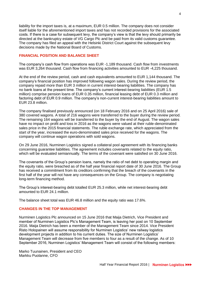liability for the import taxes is, at a maximum, EUR 0.5 million. The company does not consider itself liable for the aforementioned import taxes and has not recorded provisions for the associated costs. If there is a case for subsequent levy, the company's view is that the levy should primarily be directed at the bankruptcy estate of VG Cargo Plc and be paid from its valid customs guarantee. The company has filed an appeal with the Helsinki District Court against the subsequent levy decisions made by the National Board of Customs.

## **FINANCIAL POSITION AND BALANCE SHEET**

The company's cash flow from operations was EUR -1,189 thousand. Cash flow from investments was EUR 3,264 thousand. Cash flow from financing activities amounted to EUR -4,225 thousand.

At the end of the review period, cash and cash equivalents amounted to EUR 1,144 thousand. The company's financial position has improved following wagon sales. During the review period, the company repaid more than EUR 3 million in current interest-bearing liabilities. The company has no bank loans at the present time. The company's current interest-bearing liabilities (EUR 1.5 million) comprise pension loans of EUR 0.35 million, financial leasing debt of EUR 0.3 million and factoring debt of EUR 0.9 million. The company's non-current interest-bearing liabilities amount to EUR 23.8 million.

The company finalised previously announced (on 18 February 2016 and on 25 April 2016) sale of 380 covered wagons. A total of 216 wagons were transferred to the buyer during the review period. The remaining 164 wagons will be transferred to the buyer by the end of August. The wagon sales have no impact on profit and loss in 2016 as the wagons were valued at their ruble-denominated sales price in the 2015 financial statements. The ruble exchange rate, which appreciated from the start of the year, increased the euro-denominated sales price received for the wagons. The company will continue wagon operations with sold wagons.

On 29 June 2016, Nurminen Logistics signed a collateral pool agreement with its financing banks concerning guarantee liabilities. The agreement includes covenants related to the equity ratio, which will be evaluated semiannually. The terms of the covenant were satisfied on 30 June 2016.

The covenants of the Group's pension loans, namely the ratio of net debt to operating margin and the equity ratio, were breached as of the half year financial report date of 30 June 2016. The Group has received a commitment from its creditors confirming that the breach of the covenants in the first half of the year will not have any consequences on the Group. The company is negotiating long-term financing method.

The Group's interest-bearing debt totalled EUR 25.3 million, while net interest-bearing debt amounted to EUR 24.1 million.

The balance sheet total was EUR 46.8 million and the equity ratio was 17.6%.

## **CHANGES IN THE TOP MANAGEMENT**

Nurminen Logistics Plc announced on 15 June 2016 that Maija Dietrich, Vice President and member of Nurminen Logistics Plc's Management Team, is leaving her post on 10 September 2016. Maija Dietrich has been a member of the Management Team since 2014. Vice President Risto Holopainen will assume responsibility for Nurminen Logistics' new railway logistics development projects in addition to his current duties. The size of Nurminen Logistics' Management Team will decrease from five members to four as a result of the change. As of 10 September 2016, Nurminen Logistics' Management Team will consist of the following members:

Marko Tuunainen, President and CEO Markku Puolanne, CFO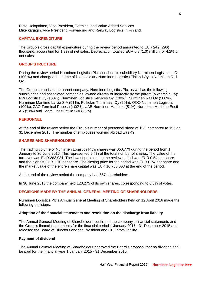Risto Holopainen, Vice President, Terminal and Value Added Services Mike karjagin, Vice President, Forwarding and Railway Logistics in Finland.

#### **CAPITAL EXPENDITURE**

The Group's gross capital expenditure during the review period amounted to EUR 249 (296) thousand, accounting for 1.3% of net sales. Depreciation totalled EUR 0.8 (1.0) million, or 4.2% of net sales.

## **GROUP STRUCTURE**

During the review period Nurminen Logistics Plc abolished its subsidiary Nurminen Logistics LLC (100 %) and changed the name of its subsidiary Nurminen Logistics Finland Oy to Nurminen Rail Oy.

The Group comprises the parent company, Nurminen Logistics Plc, as well as the following subsidiaries and associated companies, owned directly or indirectly by the parent (ownership, %): RW Logistics Oy (100%), Nurminen Logistics Services Oy (100%), Nurminen Rail Oy (100%), Nurminen Maritime Latvia SIA (51%), Pelkolan Terminaali Oy (20%), OOO Nurminen Logistics (100%), ZAO Terminal Rubesh (100%), UAB Nurminen Maritime (51%), Nurminen Maritime Eesti AS (51%) and Team Lines Latvia SIA (23%).

## **PERSONNEL**

At the end of the review period the Group's number of personnel stood at 198, compared to 196 on 31 December 2015. The number of employees working abroad was 49.

#### **SHARES AND SHAREHOLDERS**

The trading volume of Nurminen Logistics Plc's shares was 353,773 during the period from 1 January to 30 June 2016. This represented 2.4% of the total number of shares. The value of the turnover was EUR 283,931. The lowest price during the review period was EUR 0.54 per share and the highest EUR 1.10 per share. The closing price for the period was EUR 0.74 per share and the market value of the entire share capital was EUR 10,785,063 at the end of the period.

At the end of the review period the company had 667 shareholders.

In 30 June 2016 the company held 120,275 of its own shares, corresponding to 0.8% of votes.

## **DECISIONS MADE BY THE ANNUAL GENERAL MEETING OF SHAREHOLDERS**

Nurminen Logistics Plc's Annual General Meeting of Shareholders held on 12 April 2016 made the following decisions:

#### **Adoption of the financial statements and resolution on the discharge from liability**

The Annual General Meeting of Shareholders confirmed the company's financial statements and the Group's financial statements for the financial period 1 January 2015 - 31 December 2015 and released the Board of Directors and the President and CEO from liability.

#### **Payment of dividend**

The Annual General Meeting of Shareholders approved the Board's proposal that no dividend shall be paid for the financial year 1 January 2015 - 31 December 2015.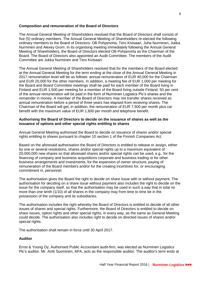#### **Composition and remuneration of the Board of Directors**

The Annual General Meeting of Shareholders resolved that the Board of Directors shall consist of five (5) ordinary members. The Annual General Meeting of Shareholders re-elected the following ordinary members to the Board of Directors: Olli Pohjanvirta, Tero Kivisaari, Juha Nurminen, Jukka Nurminen and Alexey Grom. In its organising meeting immediately following the Annual General Meeting of Shareholders, the Board of Directors elected Olli Pohjanvirta as the Chairman of the Board. The Board of Directors also appointed an Audit Committee. The members of the Audit Committee are Jukka Nurminen and Tero Kivisaari.

The Annual General Meeting of Shareholders resolved that for the members of the Board elected at the Annual General Meeting for the term ending at the close of the Annual General Meeting in 2017 remuneration level will be as follows: annual remuneration of EUR 40,000 for the Chairman and EUR 20,000 for the other members. In addition, a meeting fee of EUR 1,000 per meeting for the Board and Board Committee meetings shall be paid for each member of the Board living in Finland and EUR 1,500 per meeting for a member of the Board living outside Finland. 50 per cent of the annual remuneration will be paid in the form of Nurminen Logistics Plc's shares and the remainder in money. A member of the Board of Directors may not transfer shares received as annual remuneration before a period of three years has elapsed from receiving shares. The Chairman of the Board will get, in addition, the remuneration of EUR 7,500 per month plus car benefit with the maximum value of EUR 1,600 per month and telephone benefit.

#### **Authorising the Board of Directors to decide on the issuance of shares as well as the issuance of options and other special rights entitling to shares**

Annual General Meeting authorised the Board to decide on issuance of shares and/or special rights entitling to shares pursuant to chapter 10 section 1 of the Finnish Companies Act.

Based on the aforesaid authorisation the Board of Directors is entitled to release or assign, either by one or several resolutions, shares and/or special rights up to a maximum equivalent of 20,000,000 new shares so that aforesaid shares and/or special rights can be used, e.g., for the financing of company and business acquisitions corporate and business trading or for other business arrangements and investments, for the expansion of owner structure, paying of remuneration of the Board members and/or for the creating incentives for, or encouraging commitment in, personnel.

The authorisation gives the Board the right to decide on share issue with or without payment. The authorisation for deciding on a share issue without payment also includes the right to decide on the issue for the company itself, so that the authorisation may be used in such a way that in total no more than one tenth (1/10) of all shares in the company may from time to time be in the possession of the company and its subsidiaries.

The authorisation includes the right whereby the Board of Directors is entitled to decide of all other issues of shares and special rights. Furthermore, the Board of Directors is entitled to decide on share issues, option rights and other special rights, in every way, as the same as General Meeting could decide. The authorisation also includes right to decide on directed issues of shares and/or special rights.

The authorisation shall remain in force until 30 April 2017.

# **Auditor**

Ernst & Young Oy, Authorised Public Accountant audit-firm, was elected as Nurminen Logistics Plc's auditor. Mr. Antti Suominen, APA, acts as the responsible auditor. The auditor's term ends at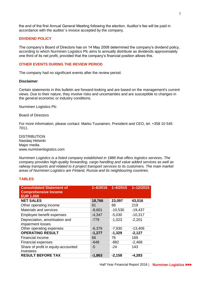the end of the first Annual General Meeting following the election. Auditor's fee will be paid in accordance with the auditor´s invoice accepted by the company.

## **DIVIDEND POLICY**

The company's Board of Directors has on 14 May 2008 determined the company's dividend policy, according to which Nurminen Logistics Plc aims to annually distribute as dividends approximately one third of its net profit, provided that the company's financial position allows this.

## **OTHER EVENTS DURING THE REVIEW PERIOD**

The company had no significant events after the review period.

#### **Disclaimer**

Certain statements in this bulletin are forward-looking and are based on the management's current views. Due to their nature, they involve risks and uncertainties and are susceptible to changes in the general economic or industry conditions.

Nurminen Logistics Plc

Board of Directors

For more information, please contact: Marko Tuunainen, President and CEO, tel. +358 10 545 7011.

**DISTRIBUTION** Nasdaq Helsinki Major media www.nurminenlogistics.com

*Nurminen Logistics is a listed company established in 1886 that offers logistics services. The company provides high-quality forwarding, cargo handling and value added services as well as railway transports and related to it project transport services to its customers. The main market areas of Nurminen Logistics are Finland, Russia and its neighbouring countries.*

## **TABLES**

| <b>Consolidated Statement of</b><br><b>Comprehensive Income</b><br><b>EUR 1,000</b> | $1 - 6/2016$ | $1 - 6/2015$ | $1 - 12/2015$ |
|-------------------------------------------------------------------------------------|--------------|--------------|---------------|
| <b>NET SALES</b>                                                                    | 18,766       | 23,097       | 43,016        |
| Other operating income                                                              | 61           | 88           | 219           |
| Materials and services                                                              | $-8,601$     | $-10,530$    | $-19,437$     |
| Employee benefit expenses                                                           | $-4,347$     | $-5,030$     | $-10,317$     |
| Depreciation, amortisation and                                                      | $-779$       | $-1,023$     | $-2,201$      |
| impairment losses                                                                   |              |              |               |
| Other operating expenses                                                            | $-6,376$     | $-7,930$     | $-13,406$     |
| <b>OPERATING RESULT</b>                                                             | $-1,277$     | $-1,329$     | $-2,127$      |
| <b>Financial income</b>                                                             | 66           | 76           | 169           |
| <b>Financial expenses</b>                                                           | $-648$       | $-882$       | $-2,468$      |
| Share of profit in equity-accounted<br>investees                                    | -5           | $-24$        | 143           |
| <b>RESULT BEFORE TAX</b>                                                            | $-1,863$     | $-2,158$     | $-4,283$      |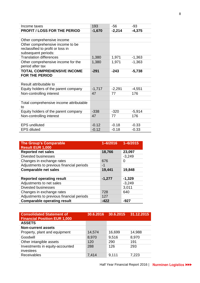| Income taxes                            | 193      | -56      | $-93$    |
|-----------------------------------------|----------|----------|----------|
| <b>PROFIT / LOSS FOR THE PERIOD</b>     | $-1,670$ | $-2,214$ | $-4,375$ |
|                                         |          |          |          |
| Other comprehensive income              |          |          |          |
| Other comprehensive income to be        |          |          |          |
| reclassified to profit or loss in       |          |          |          |
| subsequent periods:                     |          |          |          |
| <b>Translation differences</b>          | 1,380    | 1,971    | $-1,363$ |
| Other comprehensive income for the      | 1,380    | 1,971    | $-1,363$ |
| period after tax                        |          |          |          |
| <b>TOTAL COMPREHENSIVE INCOME</b>       | $-291$   | $-243$   | $-5,738$ |
| <b>FOR THE PERIOD</b>                   |          |          |          |
|                                         |          |          |          |
| Result attributable to                  |          |          |          |
| Equity holders of the parent company    | $-1,717$ | $-2,291$ | $-4,551$ |
| Non-controlling interest                | 47       | 77       | 176      |
|                                         |          |          |          |
| Total comprehensive income attributable |          |          |          |
| to                                      |          |          |          |
| Equity holders of the parent company    | $-338$   | $-320$   | $-5,914$ |
| Non-controlling interest                | 47       | 77       | 176      |
|                                         |          |          |          |
| <b>EPS</b> undiluted                    | $-0.12$  | $-0.18$  | $-0.33$  |
| <b>EPS diluted</b>                      | $-0.12$  | $-0.18$  | $-0.33$  |

| <b>The Group's Comparable</b><br><b>Result EUR 1,000</b> | $1 - 6/2016$ | $1 - 6/2015$ |
|----------------------------------------------------------|--------------|--------------|
| <b>Reported net sales</b>                                | 18,766       | 23,097       |
| <b>Divested businesses</b>                               |              | $-3,249$     |
| Changes in exchange rates                                | 676          | 0            |
| Adjustments to previous financial periods                | -1           |              |
| <b>Comparable net sales</b>                              | 19,441       | 19,848       |
|                                                          |              |              |
| <b>Reported operating result</b>                         | $-1,277$     | $-1,329$     |
| Adjustments to net sales                                 |              | $-3,249$     |
| <b>Divested businesses</b>                               |              | 3,011        |
| Changes in exchange rates                                | 728          | 640          |
| Adjustments to previous financial periods                | 127          |              |
| <b>Comparable operating result</b>                       | -422         | -927         |

| 30.6.2016 | 30.6.2015 | 31.12.2015 |
|-----------|-----------|------------|
|           |           |            |
|           |           |            |
| 14,574    | 16,699    | 14,988     |
| 8,970     | 9,516     | 8,970      |
| 120       | 290       | 191        |
| 288       | 126       | 293        |
|           |           | 7,223      |
|           | 7,414     | 9,111      |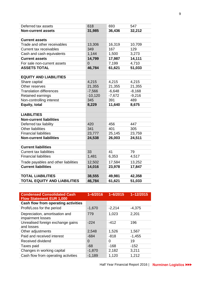| Deferred tax assets                  | 618            | 693      | 547      |
|--------------------------------------|----------------|----------|----------|
| <b>Non-current assets</b>            | 31,985         | 36,436   | 32,212   |
|                                      |                |          |          |
| <b>Current assets</b>                |                |          |          |
| Trade and other receivables          | 13,306         | 16,319   | 10,709   |
| <b>Current tax receivables</b>       | 349            | 167      | 129      |
| Cash and cash equivalents            | 1,144          | 1,500    | 3,273    |
| <b>Current assets</b>                | 14,799         | 17,987   | 14,111   |
| For sale non-current assets          | $\overline{0}$ | 7,199    | 4,710    |
| <b>ASSETS TOTAL</b>                  | 46,784         | 61,621   | 51,033   |
|                                      |                |          |          |
| <b>EQUITY AND LIABILITIES</b>        |                |          |          |
| Share capital                        | 4,215          | 4,215    | 4,215    |
| Other reserves                       | 21,355         | 21,355   | 21,355   |
| <b>Translation differences</b>       | $-7,566$       | $-6,648$ | $-8,168$ |
| Retained earnings                    | $-10,120$      | $-7,672$ | $-9,216$ |
| Non-controlling interest             | 345            | 391      | 489      |
| Equity, total                        | 8,229          | 11,640   | 8,675    |
|                                      |                |          |          |
| <b>LIABILITIES</b>                   |                |          |          |
| <b>Non-current liabilities</b>       |                |          |          |
| Deferred tax liability               | 420            | 456      | 447      |
| <b>Other liabilities</b>             | 341            | 401      | 305      |
| <b>Financial liabilities</b>         | 23,777         | 25,145   | 23,759   |
| <b>Non-current liabilities</b>       | 24,538         | 26,003   | 24,511   |
|                                      |                |          |          |
| <b>Current liabilities</b>           |                |          |          |
| <b>Current tax liabilities</b>       | 33             | 41       | 79       |
| <b>Financial liabilities</b>         | 1,481          | 6,353    | 4,517    |
| Trade payables and other liabilities | 12,502         | 17,584   | 13,252   |
| <b>Current liabilities</b>           | 14,016         | 23,978   | 17,847   |
|                                      |                |          |          |
| <b>TOTAL LIABILITIES</b>             | 38,555         | 49,981   | 42,358   |
| <b>TOTAL EQUITY AND LIABILITIES</b>  | 46,784         | 61,621   | 51,033   |

| <b>Condensed Consolidated Cash</b><br><b>Flow Statement EUR 1,000</b> | $1 - 6/2016$ | $1 - 6/2015$ | $1 - 12/2015$ |
|-----------------------------------------------------------------------|--------------|--------------|---------------|
| Cash flow from operating activities                                   |              |              |               |
| Profit/Loss for the period                                            | $-1,670$     | $-2,214$     | $-4,375$      |
| Depreciation, amortisation and<br>impairment losses                   | 779          | 1,023        | 2,201         |
| Unrealised foreign exchange gains<br>and losses                       | $-224$       | $-412$       | 196           |
| Other adjustments                                                     | 2,548        | 1,526        | 1,567         |
| Paid and received interest                                            | $-684$       | $-818$       | $-1,455$      |
| Received dividend                                                     | $\Omega$     | 0            | 19            |
| Taxes paid                                                            | $-68$        | $-168$       | $-152$        |
| Changes in working capital                                            | $-1,870$     | 2,182        | 3,211         |
| Cash flow from operating activities                                   | $-1,189$     | 1,120        | 1,212         |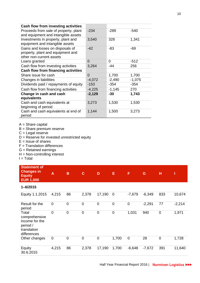| Cash flow from investing activities                                                               |          |          |          |
|---------------------------------------------------------------------------------------------------|----------|----------|----------|
| Proceeds from sale of property, plant<br>and equipment and intangible assets                      | $-234$   | -289     | $-540$   |
| Investments in property, plant and<br>equipment and intangible assets                             | 3,540    | 328      | 1,341    |
| Gains and losses on disposals of<br>property, plant and equipment and<br>other non-current assets | $-42$    | -83      | -69      |
| Loans granted                                                                                     | $\Omega$ | 0        | $-512$   |
| Cash flow from investing activities                                                               | 3,264    | -44      | 256      |
| Cash flow from financing activities                                                               |          |          |          |
| Share issue for cash                                                                              | $\Omega$ | 1,700    | 1,700    |
| Changes in liabilities                                                                            | $-4,072$ | $-2,490$ | $-1,075$ |
| Dividends paid / repayments of equity                                                             | $-153$   | $-354$   | $-354$   |
| Cash flow from financing activities                                                               | $-4,225$ | $-1,145$ | 270      |
| Change in cash and cash<br>equivalents                                                            | $-2,129$ | -30      | 1,743    |
| Cash and cash equivalents at<br>beginning of period                                               | 3,273    | 1,530    | 1,530    |
| Cash and cash equivalents at end of<br>period                                                     | 1,144    | 1,500    | 3,273    |

- $A =$ Share capital
- $B =$  Share premium reserve
- $C =$  Legal reserve
- $D =$  Reserve for invested unrestricted equity
- $E =$  Issue of shares
- F = Translation differences
- G = Retained earnings
- H = Non-controlling interest

 $I = Total$ 

| <b>Statement of</b><br><b>Changes in</b><br><b>Equity</b><br><b>EUR 1,000</b>      | $\overline{A}$ | B              | $\mathbf C$ | D           | E           | Ē           | G        | H           | Π        |
|------------------------------------------------------------------------------------|----------------|----------------|-------------|-------------|-------------|-------------|----------|-------------|----------|
| $1 - 6/2015$                                                                       |                |                |             |             |             |             |          |             |          |
| Equity 1.1.2015                                                                    | 4,215          | 86             | 2,378       | 17,190      | $\mathbf 0$ | $-7,679$    | $-6,349$ | 833         | 10,674   |
| Result for the<br>period                                                           | $\mathbf 0$    | $\mathbf 0$    | $\mathbf 0$ | $\mathbf 0$ | $\mathbf 0$ | $\mathbf 0$ | $-2,291$ | 77          | $-2,214$ |
| Total<br>comprehensive<br>income for the<br>period /<br>translation<br>differences | $\mathbf 0$    | $\overline{0}$ | $\mathbf 0$ | $\mathbf 0$ | $\mathbf 0$ | 1,031       | 940      | $\mathbf 0$ | 1,971    |
| Other changes                                                                      | $\mathbf 0$    | $\mathbf 0$    | $\mathbf 0$ | $\mathbf 0$ | 1,700       | $\mathbf 0$ | 28       | $\mathbf 0$ | 1,728    |
| Equity<br>30.6.2015                                                                | 4,215          | 86             | 2,378       | 17,190      | 1,700       | $-6,648$    | $-7,672$ | 391         | 11,640   |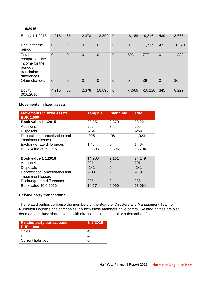## **1–6/2016**

| Equity 1.1.2016                                                                    | 4,215          | 86             | 2,378          | 18,890         | $\mathbf 0$    | $-8,168$       | $-9,216$  | 489            | 8,675    |
|------------------------------------------------------------------------------------|----------------|----------------|----------------|----------------|----------------|----------------|-----------|----------------|----------|
| Result for the<br>period                                                           | $\overline{0}$ | $\overline{0}$ | $\overline{0}$ | $\overline{0}$ | $\overline{0}$ | $\overline{0}$ | $-1,717$  | 47             | $-1,670$ |
| Total<br>comprehensive<br>income for the<br>period /<br>translation<br>differences | $\overline{0}$ | $\overline{0}$ | $\mathbf 0$    | $\overline{0}$ | $\overline{0}$ | 603            | 777       | $\overline{0}$ | 1,380    |
| Other changes                                                                      | $\overline{0}$ | $\overline{0}$ | $\overline{0}$ | $\overline{0}$ | $\overline{0}$ | $\overline{0}$ | 36        | $\overline{0}$ | 36       |
| Equity<br>30.6.2016                                                                | 4,215          | 86             | 2,378          | 18,890         | $\overline{0}$ | $-7,566$       | $-10,120$ | 345            | 8,229    |

## **Movements in fixed assets**

| <b>Movements in fixed assets</b><br><b>EUR 1,000</b> | <b>Tangible</b> | <b>Intangible</b> | <b>Total</b> |
|------------------------------------------------------|-----------------|-------------------|--------------|
| <b>Book value 1.1.2015</b>                           | 23,351          | 9,870             | 33,221       |
| Additions                                            | 262             | 34                | 296          |
| <b>Disposals</b>                                     | $-254$          | 0                 | -254         |
| Depreciation, amortisation and<br>impairment losses  | $-925$          | $-98$             | $-1,023$     |
| Exchange rate differences                            | 1,464           | 0                 | 1,464        |
| Book value 30.6.2015                                 | 23,898          | 9,806             | 33,704       |
|                                                      |                 |                   |              |
| <b>Book value 1.1.2016</b>                           | 14,988          | 9,161             | 24,149       |
| Additions                                            | 201             | O                 | 201          |
| <b>Disposals</b>                                     | $-241$          | $\Omega$          | $-241$       |
| Depreciation, amortisation and                       | -708            | $-71$             | $-779$       |
| impairment losses                                    |                 |                   |              |
| Exchange rate differences                            | 335             | $\Omega$          | 335          |
| Book value 30.6.2016                                 | 14,574          | 9,090             | 23,664       |

## **Related party transactions**

The related parties comprise the members of the Board of Directors and Management Team of Nurminen Logistics and companies in which these members have control. Related parties are also deemed to include shareholders with direct or indirect control or substantial influence.

| <b>Related party transactions</b><br><b>EUR 1,000</b> | $1 - 6/2016$ |
|-------------------------------------------------------|--------------|
| <b>Sales</b>                                          | 46           |
| <b>Purchases</b>                                      |              |
| <b>Current liabilities</b>                            |              |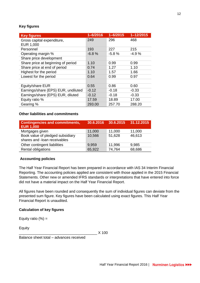# **Key figures**

| <b>Key figures</b>                      | $1 - 6/2016$ | $1 - 6/2015$ | $1 - 12/2015$ |
|-----------------------------------------|--------------|--------------|---------------|
| Gross capital expenditure,<br>EUR 1,000 | 249          | 296          | 468           |
| Personnel                               | 193          | 227          | 215           |
| Operating margin %                      | $-6.8%$      | $-5.8%$      | $-4.9%$       |
| Share price development                 |              |              |               |
| Share price at beginning of period      | 1.10         | 0.99         | 0.99          |
| Share price at end of period            | 0.74         | 1.27         | 1.10          |
| Highest for the period                  | 1.10         | 1.57         | 1.66          |
| Lowest for the period                   | 0.64         | 0.99         | 0.97          |
|                                         |              |              |               |
| Eguity/share EUR                        | 0.55         | 0.86         | 0.60          |
| Earnings/share (EPS) EUR, undiluted     | $-0.12$      | $-0.18$      | $-0.33$       |
| Earnings/share (EPS) EUR, diluted       | $-0.12$      | $-0.18$      | $-0.33$       |
| Equity ratio %                          | 17.59        | 18.89        | 17.00         |
| Gearing %                               | 293.00       | 257.70       | 288.20        |

# **Other liabilities and commitments**

| <b>Contingencies and commitments,</b><br><b>EUR 1,000</b>        | 30.6.2016 | 30.6.2015 | 31.12.2015 |
|------------------------------------------------------------------|-----------|-----------|------------|
| Mortgages given                                                  | 11,000    | 11,000    | 11,000     |
| Book value of pledged subsidiary<br>shares and -loan receivables | 10,566    | 51,628    | 46,613     |
| Other contingent liabilities                                     | 9,959     | 11,996    | 9,985      |
| Rental obligations                                               | 65,922    | 74,764    | 68,686     |

## **Accounting policies**

The Half Year Financial Report has been prepared in accordance with IAS 34 Interim Financial Reporting. The accounting policies applied are consistent with those applied in the 2015 Financial Statements. Other new or amended IFRS standards or interpretations that have entered into force did not have a material impact on the Half Year Financial Report.

All figures have been rounded and consequently the sum of individual figures can deviate from the presented sum figure. Key figures have been calculated using exact figures. This Half Year Financial Report is unaudited.

## **Calculation of key figures**

Equity ratio  $(%) =$ 

Equity

\_\_\_\_\_\_\_\_\_\_\_\_\_\_\_\_\_\_\_\_\_\_\_\_\_\_\_\_\_\_\_\_\_\_\_\_\_\_ X 100

Balance sheet total – advances received